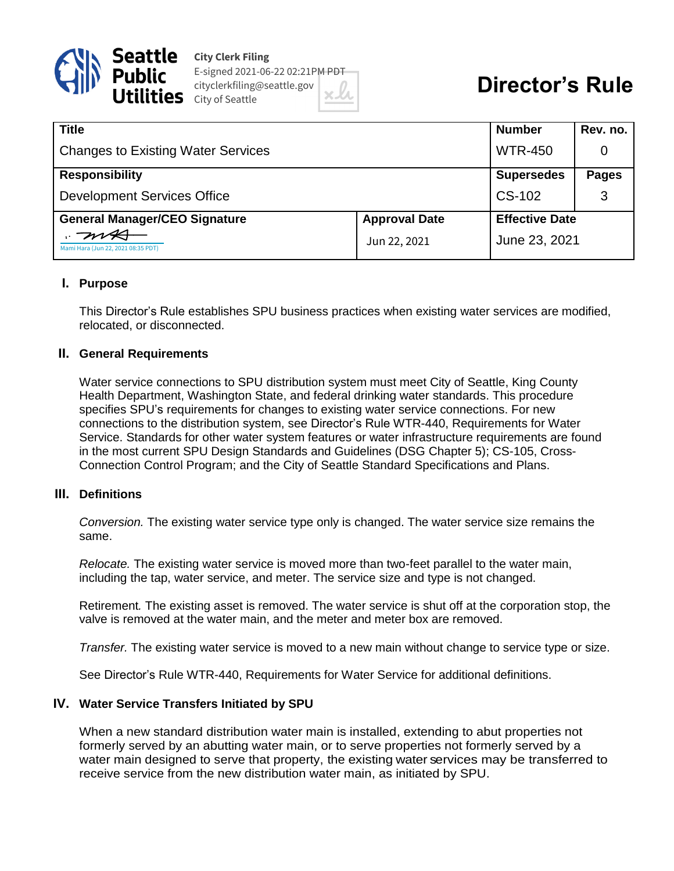

**City Clerk Filing** E-signed 2021-06-22 02:21PM PDT cityclerkfiling@seattle.gov  $\mathsf{e}\mathsf{s}$  City of Seattle

# **Director's Rule**

| <b>Title</b>                              |                      | <b>Number</b>         | Rev. no.     |
|-------------------------------------------|----------------------|-----------------------|--------------|
| <b>Changes to Existing Water Services</b> |                      | <b>WTR-450</b>        | 0            |
| <b>Responsibility</b>                     |                      | <b>Supersedes</b>     | <b>Pages</b> |
| <b>Development Services Office</b>        |                      | CS-102                | 3            |
| <b>General Manager/CEO Signature</b>      | <b>Approval Date</b> | <b>Effective Date</b> |              |
| Mami Hara (Jun 22, 2021 08:35 PDT)        | Jun 22, 2021         | June 23, 2021         |              |

## **I. Purpose**

This Director's Rule establishes SPU business practices when existing water services are modified, relocated, or disconnected.

#### **II. General Requirements**

Water service connections to SPU distribution system must meet City of Seattle, King County Health Department, Washington State, and federal drinking water standards. This procedure specifies SPU's requirements for changes to existing water service connections. For new connections to the distribution system, see Director's Rule WTR-440, Requirements for Water Service. Standards for other water system features or water infrastructure requirements are found in the most current SPU Design Standards and Guidelines (DSG Chapter 5); CS-105, Cross-Connection Control Program; and the City of Seattle Standard Specifications and Plans.

# **III. Definitions**

*Conversion.* The existing water service type only is changed. The water service size remains the same.

*Relocate.* The existing water service is moved more than two-feet parallel to the water main, including the tap, water service, and meter. The service size and type is not changed.

Retirement*.* The existing asset is removed. The water service is shut off at the corporation stop, the valve is removed at the water main, and the meter and meter box are removed.

*Transfer.* The existing water service is moved to a new main without change to service type or size.

See Director's Rule WTR-440, Requirements for Water Service for additional definitions.

#### **IV. Water Service Transfers Initiated by SPU**

When a new standard distribution water main is installed, extending to abut properties not formerly served by an abutting water main, or to serve properties not formerly served by a water main designed to serve that property, the existing water services may be transferred to receive service from the new distribution water main, as initiated by SPU.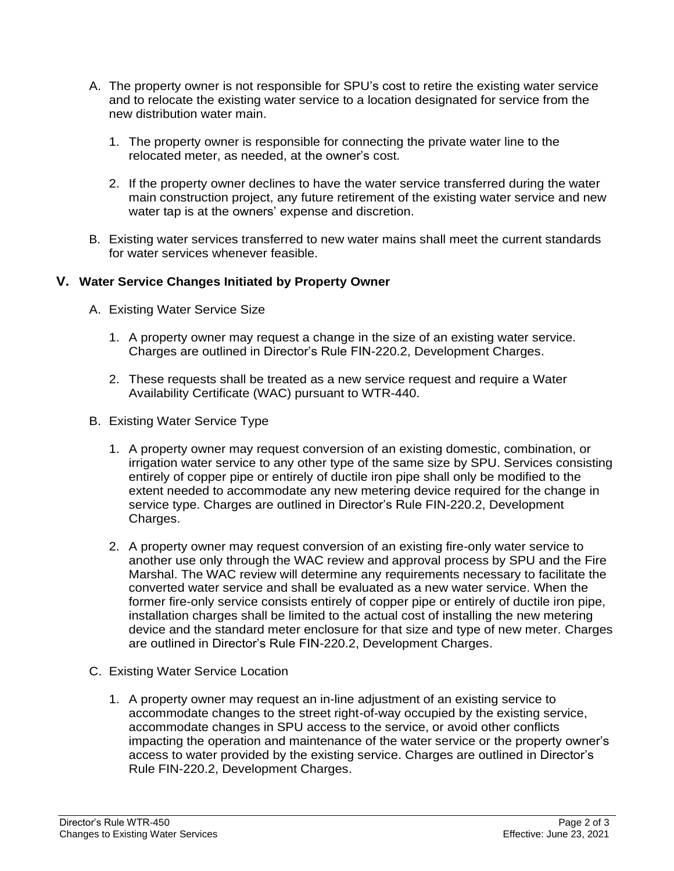- A. The property owner is not responsible for SPU's cost to retire the existing water service and to relocate the existing water service to a location designated for service from the new distribution water main.
	- 1. The property owner is responsible for connecting the private water line to the relocated meter, as needed, at the owner's cost.
	- 2. If the property owner declines to have the water service transferred during the water main construction project, any future retirement of the existing water service and new water tap is at the owners' expense and discretion.
- B. Existing water services transferred to new water mains shall meet the current standards for water services whenever feasible.

# **V. Water Service Changes Initiated by Property Owner**

- A. Existing Water Service Size
	- 1. A property owner may request a change in the size of an existing water service. Charges are outlined in Director's Rule FIN-220.2, Development Charges.
	- 2. These requests shall be treated as a new service request and require a Water Availability Certificate (WAC) pursuant to WTR-440.
- B. Existing Water Service Type
	- 1. A property owner may request conversion of an existing domestic, combination, or irrigation water service to any other type of the same size by SPU. Services consisting entirely of copper pipe or entirely of ductile iron pipe shall only be modified to the extent needed to accommodate any new metering device required for the change in service type. Charges are outlined in Director's Rule FIN-220.2, Development Charges.
	- 2. A property owner may request conversion of an existing fire-only water service to another use only through the WAC review and approval process by SPU and the Fire Marshal. The WAC review will determine any requirements necessary to facilitate the converted water service and shall be evaluated as a new water service. When the former fire-only service consists entirely of copper pipe or entirely of ductile iron pipe, installation charges shall be limited to the actual cost of installing the new metering device and the standard meter enclosure for that size and type of new meter. Charges are outlined in Director's Rule FIN-220.2, Development Charges.
- C. Existing Water Service Location
	- 1. A property owner may request an in-line adjustment of an existing service to accommodate changes to the street right-of-way occupied by the existing service, accommodate changes in SPU access to the service, or avoid other conflicts impacting the operation and maintenance of the water service or the property owner's access to water provided by the existing service. Charges are outlined in Director's Rule FIN-220.2, Development Charges.